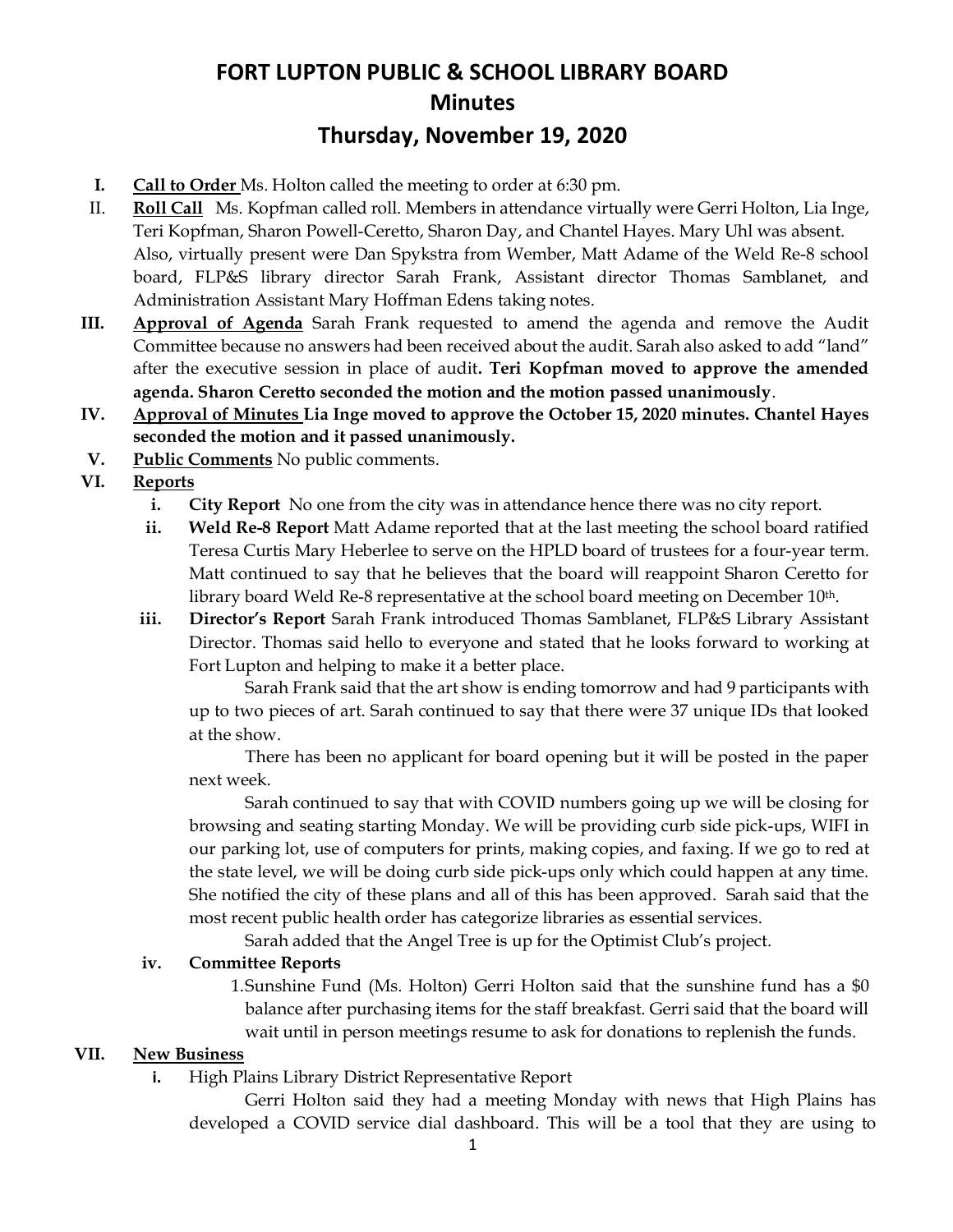# **FORT LUPTON PUBLIC & SCHOOL LIBRARY BOARD Minutes Thursday, November 19, 2020**

- **I. Call to Order** Ms. Holton called the meeting to order at 6:30 pm.
- II. **Roll Call** Ms. Kopfman called roll. Members in attendance virtually were Gerri Holton, Lia Inge, Teri Kopfman, Sharon Powell-Ceretto, Sharon Day, and Chantel Hayes. Mary Uhl was absent. Also, virtually present were Dan Spykstra from Wember, Matt Adame of the Weld Re-8 school board, FLP&S library director Sarah Frank, Assistant director Thomas Samblanet, and Administration Assistant Mary Hoffman Edens taking notes.
- **III. Approval of Agenda** Sarah Frank requested to amend the agenda and remove the Audit Committee because no answers had been received about the audit. Sarah also asked to add "land" after the executive session in place of audit**. Teri Kopfman moved to approve the amended agenda. Sharon Ceretto seconded the motion and the motion passed unanimously**.
- **IV. Approval of Minutes Lia Inge moved to approve the October 15, 2020 minutes. Chantel Hayes seconded the motion and it passed unanimously.**
- **V. Public Comments** No public comments.
- **VI. Reports**
	- **i. City Report** No one from the city was in attendance hence there was no city report.
	- **ii. Weld Re-8 Report** Matt Adame reported that at the last meeting the school board ratified Teresa Curtis Mary Heberlee to serve on the HPLD board of trustees for a four-year term. Matt continued to say that he believes that the board will reappoint Sharon Ceretto for library board Weld Re-8 representative at the school board meeting on December 10th.
	- **iii. Director's Report** Sarah Frank introduced Thomas Samblanet, FLP&S Library Assistant Director. Thomas said hello to everyone and stated that he looks forward to working at Fort Lupton and helping to make it a better place.

Sarah Frank said that the art show is ending tomorrow and had 9 participants with up to two pieces of art. Sarah continued to say that there were 37 unique IDs that looked at the show.

There has been no applicant for board opening but it will be posted in the paper next week.

Sarah continued to say that with COVID numbers going up we will be closing for browsing and seating starting Monday. We will be providing curb side pick-ups, WIFI in our parking lot, use of computers for prints, making copies, and faxing. If we go to red at the state level, we will be doing curb side pick-ups only which could happen at any time. She notified the city of these plans and all of this has been approved. Sarah said that the most recent public health order has categorize libraries as essential services.

Sarah added that the Angel Tree is up for the Optimist Club's project.

#### **iv. Committee Reports**

1.Sunshine Fund (Ms. Holton) Gerri Holton said that the sunshine fund has a \$0 balance after purchasing items for the staff breakfast. Gerri said that the board will wait until in person meetings resume to ask for donations to replenish the funds.

#### **VII. New Business**

**i.** High Plains Library District Representative Report

Gerri Holton said they had a meeting Monday with news that High Plains has developed a COVID service dial dashboard. This will be a tool that they are using to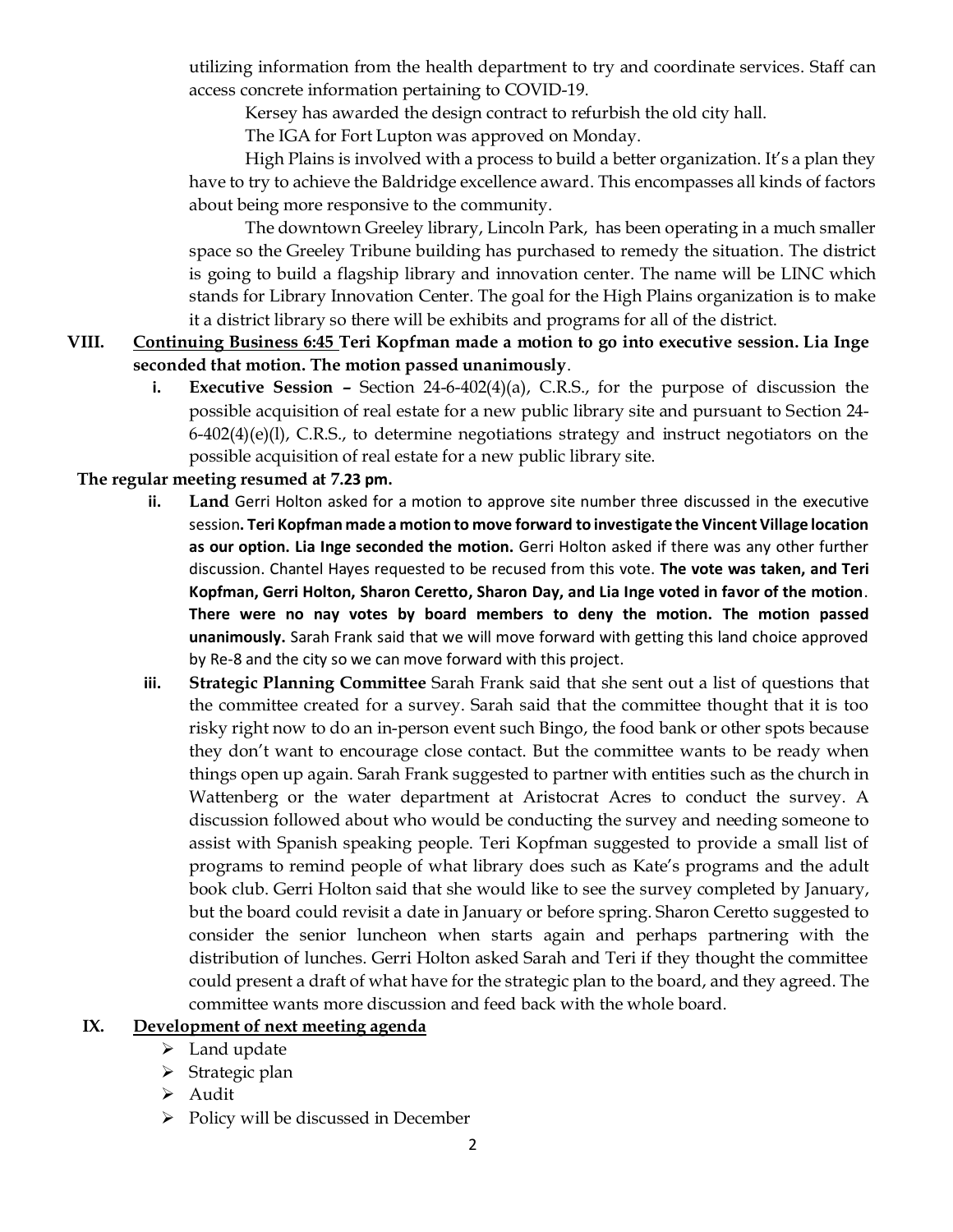utilizing information from the health department to try and coordinate services. Staff can access concrete information pertaining to COVID-19.

Kersey has awarded the design contract to refurbish the old city hall.

The IGA for Fort Lupton was approved on Monday.

High Plains is involved with a process to build a better organization. It's a plan they have to try to achieve the Baldridge excellence award. This encompasses all kinds of factors about being more responsive to the community.

The downtown Greeley library, Lincoln Park, has been operating in a much smaller space so the Greeley Tribune building has purchased to remedy the situation. The district is going to build a flagship library and innovation center. The name will be LINC which stands for Library Innovation Center. The goal for the High Plains organization is to make it a district library so there will be exhibits and programs for all of the district.

## **VIII. Continuing Business 6:45 Teri Kopfman made a motion to go into executive session. Lia Inge seconded that motion. The motion passed unanimously**.

**i. Executive Session –** Section 24-6-402(4)(a), C.R.S., for the purpose of discussion the possible acquisition of real estate for a new public library site and pursuant to Section 24-  $6-402(4)(e)(1)$ , C.R.S., to determine negotiations strategy and instruct negotiators on the possible acquisition of real estate for a new public library site.

### **The regular meeting resumed at 7.23 pm.**

- **ii. Land** Gerri Holton asked for a motion to approve site number three discussed in the executive session**. Teri Kopfman made a motion to move forward to investigate the Vincent Village location as our option. Lia Inge seconded the motion.** Gerri Holton asked if there was any other further discussion. Chantel Hayes requested to be recused from this vote. **The vote was taken, and Teri Kopfman, Gerri Holton, Sharon Ceretto, Sharon Day, and Lia Inge voted in favor of the motion**. **There were no nay votes by board members to deny the motion. The motion passed unanimously.** Sarah Frank said that we will move forward with getting this land choice approved by Re-8 and the city so we can move forward with this project.
- **iii. Strategic Planning Committee** Sarah Frank said that she sent out a list of questions that the committee created for a survey. Sarah said that the committee thought that it is too risky right now to do an in-person event such Bingo, the food bank or other spots because they don't want to encourage close contact. But the committee wants to be ready when things open up again. Sarah Frank suggested to partner with entities such as the church in Wattenberg or the water department at Aristocrat Acres to conduct the survey. A discussion followed about who would be conducting the survey and needing someone to assist with Spanish speaking people. Teri Kopfman suggested to provide a small list of programs to remind people of what library does such as Kate's programs and the adult book club. Gerri Holton said that she would like to see the survey completed by January, but the board could revisit a date in January or before spring. Sharon Ceretto suggested to consider the senior luncheon when starts again and perhaps partnering with the distribution of lunches. Gerri Holton asked Sarah and Teri if they thought the committee could present a draft of what have for the strategic plan to the board, and they agreed. The committee wants more discussion and feed back with the whole board.

## **IX. Development of next meeting agenda**

- ➢ Land update
- ➢ Strategic plan
- ➢ Audit
- ➢ Policy will be discussed in December